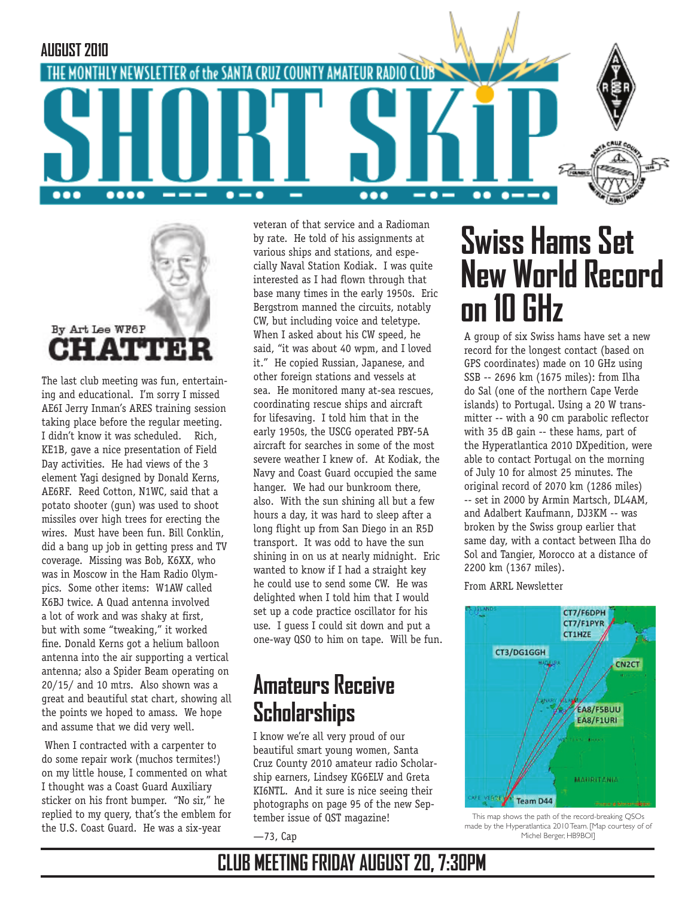



The last club meeting was fun, entertaining and educational. I'm sorry I missed AE6I Jerry Inman's ARES training session taking place before the regular meeting. I didn't know it was scheduled. Rich, KE1B, gave a nice presentation of Field Day activities. He had views of the 3 element Yagi designed by Donald Kerns, AE6RF. Reed Cotton, N1WC, said that a potato shooter (gun) was used to shoot missiles over high trees for erecting the wires. Must have been fun. Bill Conklin, did a bang up job in getting press and TV coverage. Missing was Bob, K6XX, who was in Moscow in the Ham Radio Olympics. Some other items: W1AW called K6BJ twice. A Quad antenna involved a lot of work and was shaky at first, but with some "tweaking," it worked fine. Donald Kerns got a helium balloon antenna into the air supporting a vertical antenna; also a Spider Beam operating on 20/15/ and 10 mtrs. Also shown was a great and beautiful stat chart, showing all the points we hoped to amass. We hope and assume that we did very well.

 When I contracted with a carpenter to do some repair work (muchos termites!) on my little house, I commented on what I thought was a Coast Guard Auxiliary sticker on his front bumper. "No sir," he replied to my query, that's the emblem for the U.S. Coast Guard. He was a six-year

veteran of that service and a Radioman by rate. He told of his assignments at various ships and stations, and especially Naval Station Kodiak. I was quite interested as I had flown through that base many times in the early 1950s. Eric Bergstrom manned the circuits, notably CW, but including voice and teletype. When I asked about his CW speed, he said, "it was about 40 wpm, and I loved it." He copied Russian, Japanese, and other foreign stations and vessels at sea. He monitored many at-sea rescues, coordinating rescue ships and aircraft for lifesaving. I told him that in the early 1950s, the USCG operated PBY-5A aircraft for searches in some of the most severe weather I knew of. At Kodiak, the Navy and Coast Guard occupied the same hanger. We had our bunkroom there, also. With the sun shining all but a few hours a day, it was hard to sleep after a long flight up from San Diego in an R5D transport. It was odd to have the sun shining in on us at nearly midnight. Eric wanted to know if I had a straight key he could use to send some CW. He was delighted when I told him that I would set up a code practice oscillator for his use. I guess I could sit down and put a one-way QSO to him on tape. Will be fun.

## **Amateurs Receive Scholarships**

I know we're all very proud of our beautiful smart young women, Santa Cruz County 2010 amateur radio Scholarship earners, Lindsey KG6ELV and Greta KI6NTL. And it sure is nice seeing their photographs on page 95 of the new September issue of QST magazine!

—73, Cap

# **Swiss Hams Set New World Record on 10 GHz**

A group of six Swiss hams have set a new record for the longest contact (based on GPS coordinates) made on 10 GHz using SSB -- 2696 km (1675 miles): from Ilha do Sal (one of the northern Cape Verde islands) to Portugal. Using a 20 W transmitter -- with a 90 cm parabolic reflector with 35 dB gain -- these hams, part of the Hyperatlantica 2010 DXpedition, were able to contact Portugal on the morning of July 10 for almost 25 minutes. The original record of 2070 km (1286 miles) -- set in 2000 by Armin Martsch, DL4AM, and Adalbert Kaufmann, DJ3KM -- was broken by the Swiss group earlier that same day, with a contact between Ilha do Sol and Tangier, Morocco at a distance of 2200 km (1367 miles).

From ARRL Newsletter



This map shows the path of the record-breaking QSOs made by the Hyperatlantica 2010 Team. [Map courtesy of of Michel Berger, HB9BOI]